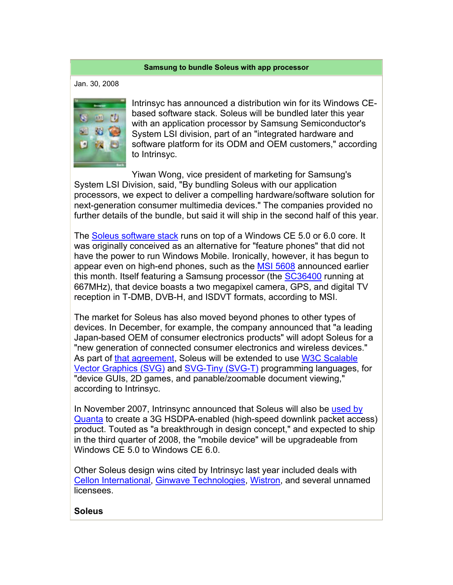## **Samsung to bundle Soleus with app processor**

Jan. 30, 2008



Intrinsyc has announced a distribution win for its Windows CEbased software stack. Soleus will be bundled later this year with an application processor by Samsung Semiconductor's System LSI division, part of an "integrated hardware and software platform for its ODM and OEM customers," according to Intrinsyc.

Yiwan Wong, vice president of marketing for Samsung's System LSI Division, said, "By bundling Soleus with our application processors, we expect to deliver a compelling hardware/software solution for next-generation consumer multimedia devices." The companies provided no further details of the bundle, but said it will ship in the second half of this year.

The Soleus software stack runs on top of a Windows CE 5.0 or 6.0 core. It was originally conceived as an alternative for "feature phones" that did not have the power to run Windows Mobile. Ironically, however, it has begun to appear even on high-end phones, such as the MSI 5608 announced earlier this month. Itself featuring a Samsung processor (the SC36400 running at 667MHz), that device boasts a two megapixel camera, GPS, and digital TV reception in T-DMB, DVB-H, and ISDVT formats, according to MSI.

The market for Soleus has also moved beyond phones to other types of devices. In December, for example, the company announced that "a leading Japan-based OEM of consumer electronics products" will adopt Soleus for a "new generation of connected consumer electronics and wireless devices." As part of that agreement, Soleus will be extended to use W3C Scalable Vector Graphics (SVG) and SVG-Tiny (SVG-T) programming languages, for "device GUIs, 2D games, and panable/zoomable document viewing," according to Intrinsyc.

In November 2007, Intrinsync announced that Soleus will also be used by Quanta to create a 3G HSDPA-enabled (high-speed downlink packet access) product. Touted as "a breakthrough in design concept," and expected to ship in the third quarter of 2008, the "mobile device" will be upgradeable from Windows CE 5.0 to Windows CE 6.0.

Other Soleus design wins cited by Intrinsyc last year included deals with Cellon International, Ginwave Technologies, Wistron, and several unnamed licensees.

## **Soleus**